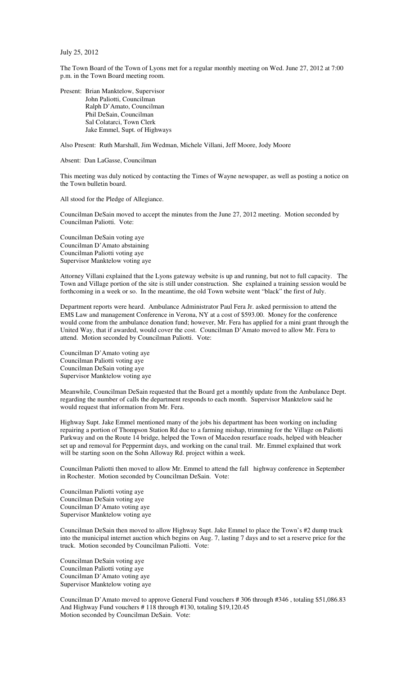July 25, 2012

The Town Board of the Town of Lyons met for a regular monthly meeting on Wed. June 27, 2012 at 7:00 p.m. in the Town Board meeting room.

Present: Brian Manktelow, Supervisor John Paliotti, Councilman Ralph D'Amato, Councilman Phil DeSain, Councilman Sal Colatarci, Town Clerk Jake Emmel, Supt. of Highways

Also Present: Ruth Marshall, Jim Wedman, Michele Villani, Jeff Moore, Jody Moore

Absent: Dan LaGasse, Councilman

This meeting was duly noticed by contacting the Times of Wayne newspaper, as well as posting a notice on the Town bulletin board.

All stood for the Pledge of Allegiance.

Councilman DeSain moved to accept the minutes from the June 27, 2012 meeting. Motion seconded by Councilman Paliotti. Vote:

Councilman DeSain voting aye Councilman D'Amato abstaining Councilman Paliotti voting aye Supervisor Manktelow voting aye

Attorney Villani explained that the Lyons gateway website is up and running, but not to full capacity. The Town and Village portion of the site is still under construction. She explained a training session would be forthcoming in a week or so. In the meantime, the old Town website went "black" the first of July.

Department reports were heard. Ambulance Administrator Paul Fera Jr. asked permission to attend the EMS Law and management Conference in Verona, NY at a cost of \$593.00. Money for the conference would come from the ambulance donation fund; however, Mr. Fera has applied for a mini grant through the United Way, that if awarded, would cover the cost. Councilman D'Amato moved to allow Mr. Fera to attend. Motion seconded by Councilman Paliotti. Vote:

Councilman D'Amato voting aye Councilman Paliotti voting aye Councilman DeSain voting aye Supervisor Manktelow voting aye

Meanwhile, Councilman DeSain requested that the Board get a monthly update from the Ambulance Dept. regarding the number of calls the department responds to each month. Supervisor Manktelow said he would request that information from Mr. Fera.

Highway Supt. Jake Emmel mentioned many of the jobs his department has been working on including repairing a portion of Thompson Station Rd due to a farming mishap, trimming for the Village on Paliotti Parkway and on the Route 14 bridge, helped the Town of Macedon resurface roads, helped with bleacher set up and removal for Peppermint days, and working on the canal trail. Mr. Emmel explained that work will be starting soon on the Sohn Alloway Rd. project within a week.

Councilman Paliotti then moved to allow Mr. Emmel to attend the fall highway conference in September in Rochester. Motion seconded by Councilman DeSain. Vote:

Councilman Paliotti voting aye Councilman DeSain voting aye Councilman D'Amato voting aye Supervisor Manktelow voting aye

Councilman DeSain then moved to allow Highway Supt. Jake Emmel to place the Town's #2 dump truck into the municipal internet auction which begins on Aug. 7, lasting 7 days and to set a reserve price for the truck. Motion seconded by Councilman Paliotti. Vote:

Councilman DeSain voting aye Councilman Paliotti voting aye Councilman D'Amato voting aye Supervisor Manktelow voting aye

Councilman D'Amato moved to approve General Fund vouchers # 306 through #346 , totaling \$51,086.83 And Highway Fund vouchers # 118 through #130, totaling \$19,120.45 Motion seconded by Councilman DeSain. Vote: